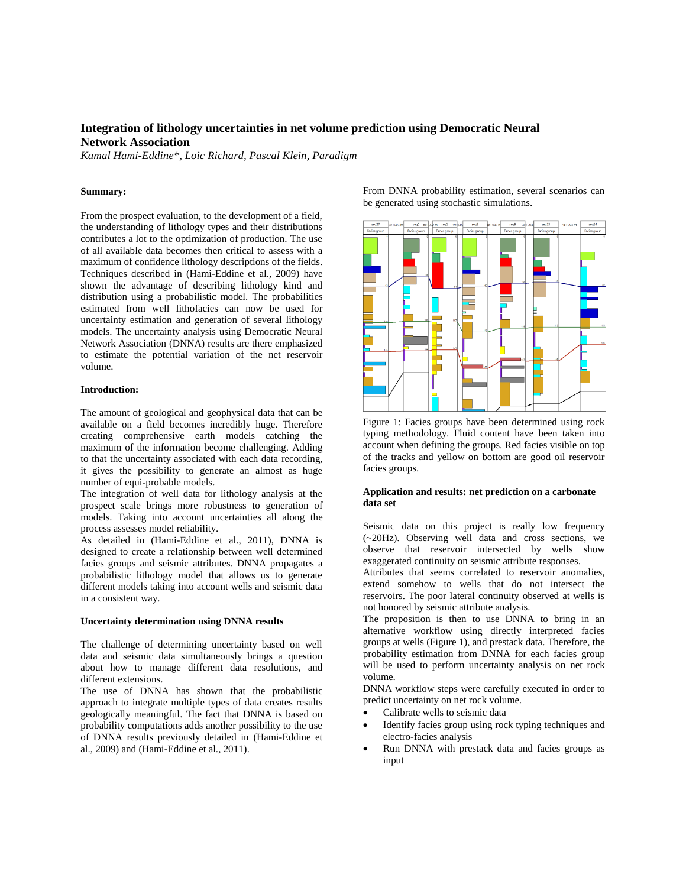# **Integration of lithology uncertainties in net volume prediction using Democratic Neural Network Association**

*Kamal Hami-Eddine\*, Loic Richard, Pascal Klein, Paradigm*

#### **Summary:**

From the prospect evaluation, to the development of a field, the understanding of lithology types and their distributions contributes a lot to the optimization of production. The use of all available data becomes then critical to assess with a maximum of confidence lithology descriptions of the fields. Techniques described in (Hami-Eddine et al., 2009) have shown the advantage of describing lithology kind and distribution using a probabilistic model. The probabilities estimated from well lithofacies can now be used for uncertainty estimation and generation of several lithology models. The uncertainty analysis using Democratic Neural Network Association (DNNA) results are there emphasized to estimate the potential variation of the net reservoir volume.

#### **Introduction:**

The amount of geological and geophysical data that can be available on a field becomes incredibly huge. Therefore creating comprehensive earth models catching the maximum of the information become challenging. Adding to that the uncertainty associated with each data recording, it gives the possibility to generate an almost as huge number of equi-probable models.

The integration of well data for lithology analysis at the prospect scale brings more robustness to generation of models. Taking into account uncertainties all along the process assesses model reliability.

As detailed in (Hami-Eddine et al., 2011), DNNA is designed to create a relationship between well determined facies groups and seismic attributes. DNNA propagates a probabilistic lithology model that allows us to generate different models taking into account wells and seismic data in a consistent way.

## **Uncertainty determination using DNNA results**

The challenge of determining uncertainty based on well data and seismic data simultaneously brings a question about how to manage different data resolutions, and different extensions.

The use of DNNA has shown that the probabilistic approach to integrate multiple types of data creates results geologically meaningful. The fact that DNNA is based on probability computations adds another possibility to the use of DNNA results previously detailed in (Hami-Eddine et al., 2009) and (Hami-Eddine et al., 2011).

From DNNA probability estimation, several scenarios can be generated using stochastic simulations.



Figure 1: Facies groups have been determined using rock typing methodology. Fluid content have been taken into account when defining the groups. Red facies visible on top of the tracks and yellow on bottom are good oil reservoir facies groups.

### **Application and results: net prediction on a carbonate data set**

Seismic data on this project is really low frequency (~20Hz). Observing well data and cross sections, we observe that reservoir intersected by wells show exaggerated continuity on seismic attribute responses.

Attributes that seems correlated to reservoir anomalies, extend somehow to wells that do not intersect the reservoirs. The poor lateral continuity observed at wells is not honored by seismic attribute analysis.

The proposition is then to use DNNA to bring in an alternative workflow using directly interpreted facies groups at wells (Figure 1), and prestack data. Therefore, the probability estimation from DNNA for each facies group will be used to perform uncertainty analysis on net rock volume.

DNNA workflow steps were carefully executed in order to predict uncertainty on net rock volume.

- Calibrate wells to seismic data
- Identify facies group using rock typing techniques and electro-facies analysis
- Run DNNA with prestack data and facies groups as input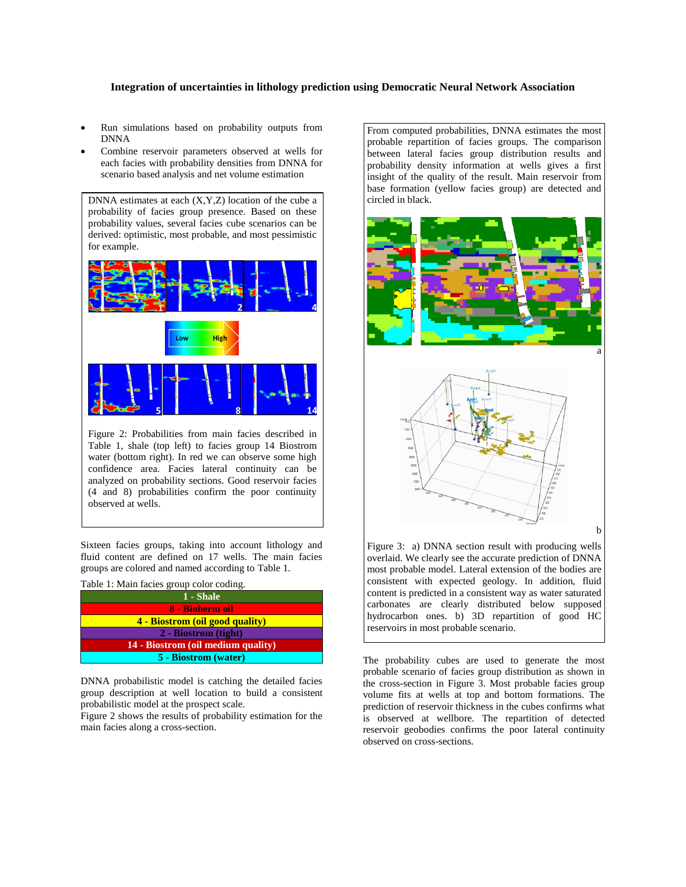## **Integration of uncertainties in lithology prediction using Democratic Neural Network Association**

- Run simulations based on probability outputs from DNNA
- Combine reservoir parameters observed at wells for each facies with probability densities from DNNA for scenario based analysis and net volume estimation

DNNA estimates at each (X,Y,Z) location of the cube a probability of facies group presence. Based on these probability values, several facies cube scenarios can be derived: optimistic, most probable, and most pessimistic for example.



Figure 2: Probabilities from main facies described in Table 1, shale (top left) to facies group 14 Biostrom water (bottom right). In red we can observe some high confidence area. Facies lateral continuity can be analyzed on probability sections. Good reservoir facies (4 and 8) probabilities confirm the poor continuity observed at wells.

Sixteen facies groups, taking into account lithology and fluid content are defined on 17 wells. The main facies groups are colored and named according to Table 1.

Table 1: Main facies group color coding.

| 1 - Shale                          |
|------------------------------------|
| 8 - Bioherm oil                    |
| 4 - Biostrom (oil good quality)    |
| 2 - Biostrom (tight)               |
| 14 - Biostrom (oil medium quality) |
| <b>5</b> - Biostrom (water)        |

DNNA probabilistic model is catching the detailed facies group description at well location to build a consistent probabilistic model at the prospect scale.

Figure 2 shows the results of probability estimation for the main facies along a cross-section.

From computed probabilities, DNNA estimates the most probable repartition of facies groups. The comparison between lateral facies group distribution results and probability density information at wells gives a first insight of the quality of the result. Main reservoir from base formation (yellow facies group) are detected and circled in black.



consistent with expected geology. In addition, fluid content is predicted in a consistent way as water saturated carbonates are clearly distributed below supposed hydrocarbon ones. b) 3D repartition of good HC reservoirs in most probable scenario.

The probability cubes are used to generate the most probable scenario of facies group distribution as shown in the cross-section in Figure 3. Most probable facies group volume fits at wells at top and bottom formations. The prediction of reservoir thickness in the cubes confirms what is observed at wellbore. The repartition of detected reservoir geobodies confirms the poor lateral continuity observed on cross-sections.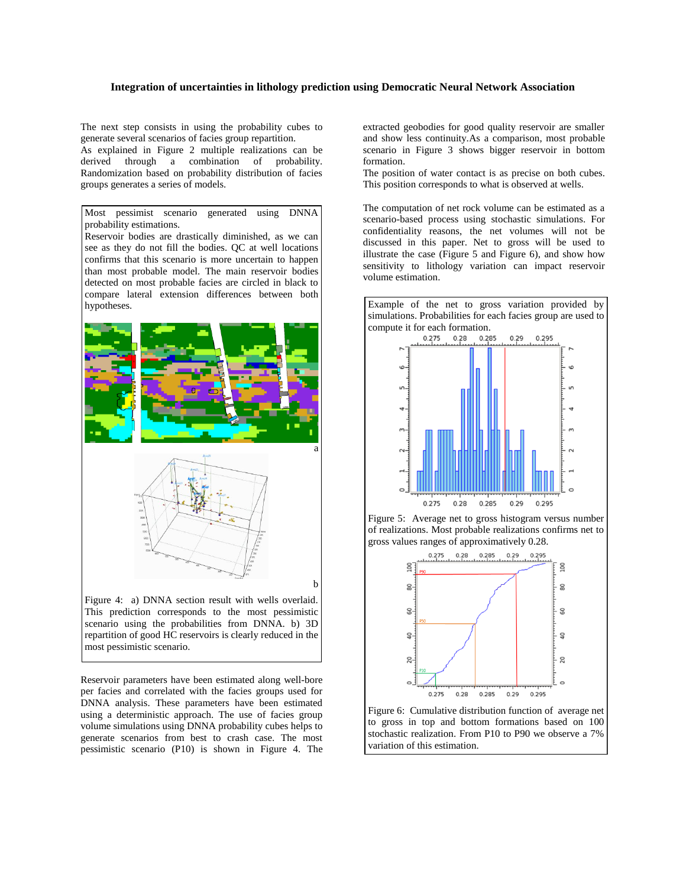## **Integration of uncertainties in lithology prediction using Democratic Neural Network Association**

The next step consists in using the probability cubes to generate several scenarios of facies group repartition.

As explained in Figure 2 multiple realizations can be derived through a combination of probability. Randomization based on probability distribution of facies groups generates a series of models.

Most pessimist scenario generated using DNNA probability estimations. Reservoir bodies are drastically diminished, as we can see as they do not fill the bodies. QC at well locations confirms that this scenario is more uncertain to happen than most probable model. The main reservoir bodies detected on most probable facies are circled in black to compare lateral extension differences between both

hypotheses.



This prediction corresponds to the most pessimistic scenario using the probabilities from DNNA. b) 3D repartition of good HC reservoirs is clearly reduced in the most pessimistic scenario.

Reservoir parameters have been estimated along well-bore per facies and correlated with the facies groups used for DNNA analysis. These parameters have been estimated using a deterministic approach. The use of facies group volume simulations using DNNA probability cubes helps to generate scenarios from best to crash case. The most pessimistic scenario (P10) is shown in Figure 4. The

extracted geobodies for good quality reservoir are smaller and show less continuity.As a comparison, most probable scenario in Figure 3 shows bigger reservoir in bottom formation.

The position of water contact is as precise on both cubes. This position corresponds to what is observed at wells.

The computation of net rock volume can be estimated as a scenario-based process using stochastic simulations. For confidentiality reasons, the net volumes will not be discussed in this paper. Net to gross will be used to illustrate the case (Figure 5 and Figure 6), and show how sensitivity to lithology variation can impact reservoir volume estimation.



Figure 5: Average net to gross histogram versus number of realizations. Most probable realizations confirms net to gross values ranges of approximatively 0.28.



Figure 6: Cumulative distribution function of average net to gross in top and bottom formations based on 100 stochastic realization. From P10 to P90 we observe a 7% variation of this estimation.